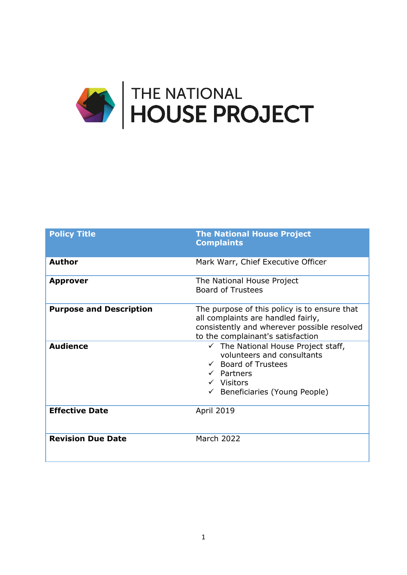

| <b>Policy Title</b>            | <b>The National House Project</b><br><b>Complaints</b>                                                                                                                                                        |
|--------------------------------|---------------------------------------------------------------------------------------------------------------------------------------------------------------------------------------------------------------|
| <b>Author</b>                  | Mark Warr, Chief Executive Officer                                                                                                                                                                            |
| <b>Approver</b>                | The National House Project<br><b>Board of Trustees</b>                                                                                                                                                        |
| <b>Purpose and Description</b> | The purpose of this policy is to ensure that<br>all complaints are handled fairly,<br>consistently and wherever possible resolved<br>to the complainant's satisfaction                                        |
| <b>Audience</b>                | $\checkmark$ The National House Project staff,<br>volunteers and consultants<br>$\checkmark$ Board of Trustees<br>$\checkmark$ Partners<br>$\checkmark$ Visitors<br>$\checkmark$ Beneficiaries (Young People) |
| <b>Effective Date</b>          | April 2019                                                                                                                                                                                                    |
| <b>Revision Due Date</b>       | <b>March 2022</b>                                                                                                                                                                                             |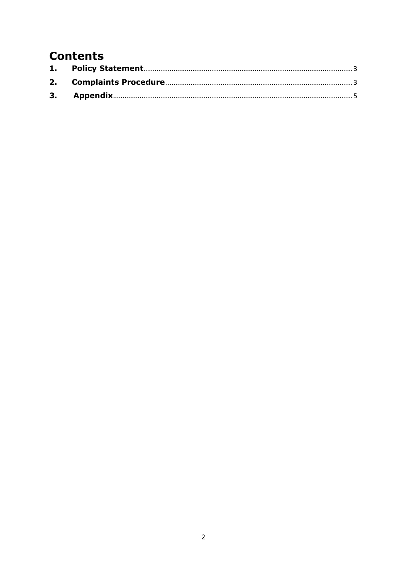# **Contents**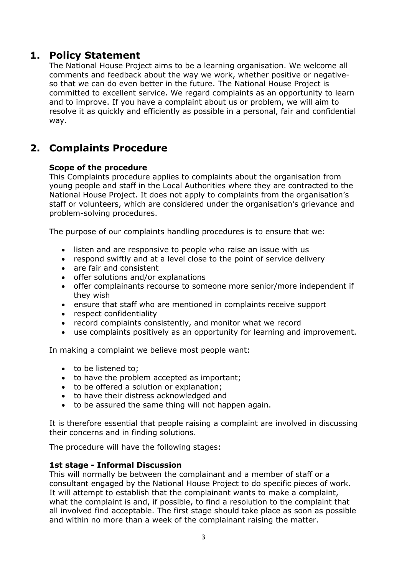# **1. Policy Statement**

<span id="page-2-0"></span>The National House Project aims to be a learning organisation. We welcome all comments and feedback about the way we work, whether positive or negativeso that we can do even better in the future. The National House Project is committed to excellent service. We regard complaints as an opportunity to learn and to improve. If you have a complaint about us or problem, we will aim to resolve it as quickly and efficiently as possible in a personal, fair and confidential way.

# <span id="page-2-1"></span>**2. Complaints Procedure**

# **Scope of the procedure**

This Complaints procedure applies to complaints about the organisation from young people and staff in the Local Authorities where they are contracted to the National House Project. It does not apply to complaints from the organisation's staff or volunteers, which are considered under the organisation's grievance and problem-solving procedures.

The purpose of our complaints handling procedures is to ensure that we:

- listen and are responsive to people who raise an issue with us
- respond swiftly and at a level close to the point of service delivery
- are fair and consistent
- offer solutions and/or explanations
- offer complainants recourse to someone more senior/more independent if they wish
- ensure that staff who are mentioned in complaints receive support
- respect confidentiality
- record complaints consistently, and monitor what we record
- use complaints positively as an opportunity for learning and improvement.

In making a complaint we believe most people want:

- to be listened to;
- to have the problem accepted as important;
- to be offered a solution or explanation;
- to have their distress acknowledged and
- to be assured the same thing will not happen again.

It is therefore essential that people raising a complaint are involved in discussing their concerns and in finding solutions.

The procedure will have the following stages:

### **1st stage - Informal Discussion**

This will normally be between the complainant and a member of staff or a consultant engaged by the National House Project to do specific pieces of work. It will attempt to establish that the complainant wants to make a complaint, what the complaint is and, if possible, to find a resolution to the complaint that all involved find acceptable. The first stage should take place as soon as possible and within no more than a week of the complainant raising the matter.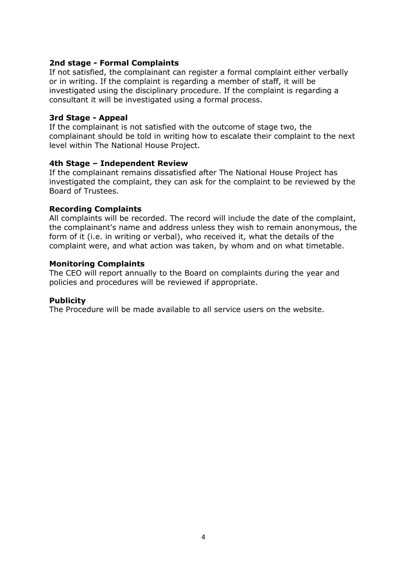#### **2nd stage - Formal Complaints**

If not satisfied, the complainant can register a formal complaint either verbally or in writing. If the complaint is regarding a member of staff, it will be investigated using the disciplinary procedure. If the complaint is regarding a consultant it will be investigated using a formal process.

#### **3rd Stage - Appeal**

If the complainant is not satisfied with the outcome of stage two, the complainant should be told in writing how to escalate their complaint to the next level within The National House Project.

#### **4th Stage – Independent Review**

If the complainant remains dissatisfied after The National House Project has investigated the complaint, they can ask for the complaint to be reviewed by the Board of Trustees.

#### **Recording Complaints**

All complaints will be recorded. The record will include the date of the complaint, the complainant's name and address unless they wish to remain anonymous, the form of it (i.e. in writing or verbal), who received it, what the details of the complaint were, and what action was taken, by whom and on what timetable.

#### **Monitoring Complaints**

The CEO will report annually to the Board on complaints during the year and policies and procedures will be reviewed if appropriate.

#### **Publicity**

The Procedure will be made available to all service users on the website.